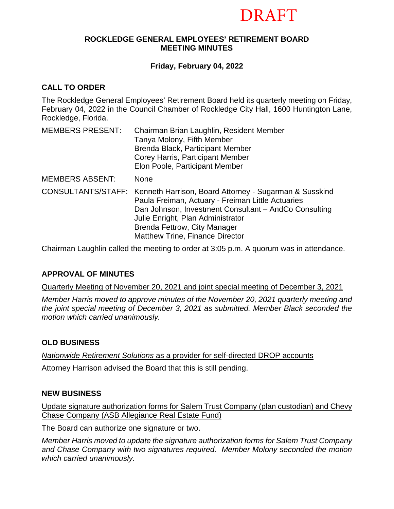# DRAFT

#### **ROCKLEDGE GENERAL EMPLOYEES' RETIREMENT BOARD MEETING MINUTES**

# **Friday, February 04, 2022**

# **CALL TO ORDER**

The Rockledge General Employees' Retirement Board held its quarterly meeting on Friday, February 04, 2022 in the Council Chamber of Rockledge City Hall, 1600 Huntington Lane, Rockledge, Florida.

| <b>MEMBERS PRESENT:</b> | Chairman Brian Laughlin, Resident Member<br>Tanya Molony, Fifth Member<br>Brenda Black, Participant Member<br>Corey Harris, Participant Member<br>Elon Poole, Participant Member                                                                                                                |
|-------------------------|-------------------------------------------------------------------------------------------------------------------------------------------------------------------------------------------------------------------------------------------------------------------------------------------------|
| <b>MEMBERS ABSENT:</b>  | <b>None</b>                                                                                                                                                                                                                                                                                     |
|                         | CONSULTANTS/STAFF: Kenneth Harrison, Board Attorney - Sugarman & Susskind<br>Paula Freiman, Actuary - Freiman Little Actuaries<br>Dan Johnson, Investment Consultant - AndCo Consulting<br>Julie Enright, Plan Administrator<br>Brenda Fettrow, City Manager<br>Matthew Trine, Finance Director |

Chairman Laughlin called the meeting to order at 3:05 p.m. A quorum was in attendance.

# **APPROVAL OF MINUTES**

Quarterly Meeting of November 20, 2021 and joint special meeting of December 3, 2021

*Member Harris moved to approve minutes of the November 20, 2021 quarterly meeting and the joint special meeting of December 3, 2021 as submitted. Member Black seconded the motion which carried unanimously.*

# **OLD BUSINESS**

*Nationwide Retirement Solutions* as a provider for self-directed DROP accounts

Attorney Harrison advised the Board that this is still pending.

# **NEW BUSINESS**

Update signature authorization forms for Salem Trust Company (plan custodian) and Chevy Chase Company (ASB Allegiance Real Estate Fund)

The Board can authorize one signature or two.

*Member Harris moved to update the signature authorization forms for Salem Trust Company and Chase Company with two signatures required. Member Molony seconded the motion which carried unanimously.*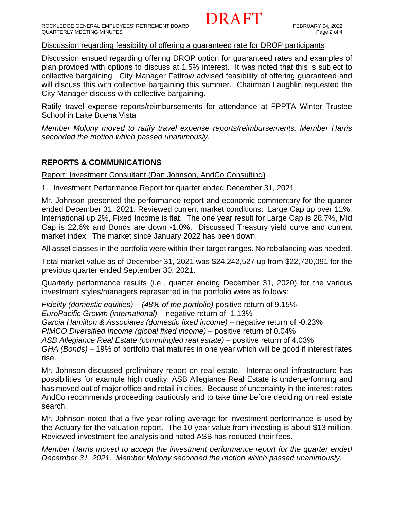Discussion regarding feasibility of offering a guaranteed rate for DROP participants

Discussion ensued regarding offering DROP option for guaranteed rates and examples of plan provided with options to discuss at 1.5% interest. It was noted that this is subject to collective bargaining. City Manager Fettrow advised feasibility of offering guaranteed and will discuss this with collective bargaining this summer. Chairman Laughlin requested the City Manager discuss with collective bargaining.

Ratify travel expense reports/reimbursements for attendance at FPPTA Winter Trustee School in Lake Buena Vista

*Member Molony moved to ratify travel expense reports/reimbursements. Member Harris seconded the motion which passed unanimously.*

# **REPORTS & COMMUNICATIONS**

Report: Investment Consultant (Dan Johnson, AndCo Consulting)

1. Investment Performance Report for quarter ended December 31, 2021

Mr. Johnson presented the performance report and economic commentary for the quarter ended December 31, 2021. Reviewed current market conditions: Large Cap up over 11%, International up 2%, Fixed Income is flat. The one year result for Large Cap is 28.7%, Mid Cap is 22.6% and Bonds are down -1.0%. Discussed Treasury yield curve and current market index. The market since January 2022 has been down.

All asset classes in the portfolio were within their target ranges. No rebalancing was needed.

Total market value as of December 31, 2021 was \$24,242,527 up from \$22,720,091 for the previous quarter ended September 30, 2021.

Quarterly performance results (i.e., quarter ending December 31, 2020) for the various investment styles/managers represented in the portfolio were as follows:

*Fidelity (domestic equities) – (48% of the portfolio)* positive return of 9.15% *EuroPacific Growth (international) –* negative return of -1.13% *Garcia Hamilton & Associates (domestic fixed income) –* negative return of -0.23% *PIMCO Diversified Income (global fixed income)* – positive return of 0.04% ASB Allegiance Real Estate (commingled real estate) – positive return of 4.03% *GHA (Bonds)* – 19% of portfolio that matures in one year which will be good if interest rates rise.

Mr. Johnson discussed preliminary report on real estate. International infrastructure has possibilities for example high quality. ASB Allegiance Real Estate is underperforming and has moved out of major office and retail in cities. Because of uncertainty in the interest rates AndCo recommends proceeding cautiously and to take time before deciding on real estate search.

Mr. Johnson noted that a five year rolling average for investment performance is used by the Actuary for the valuation report. The 10 year value from investing is about \$13 million. Reviewed investment fee analysis and noted ASB has reduced their fees.

*Member Harris moved to accept the investment performance report for the quarter ended December 31, 2021. Member Molony seconded the motion which passed unanimously.*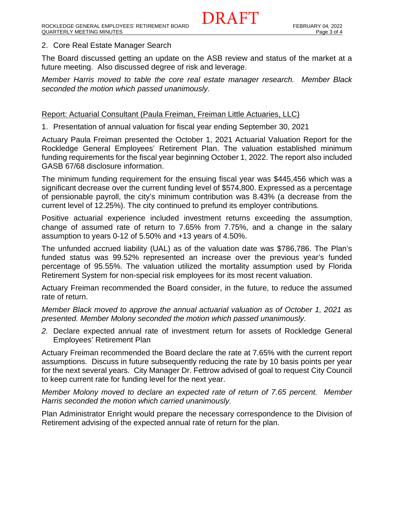#### 2. Core Real Estate Manager Search

The Board discussed getting an update on the ASB review and status of the market at a future meeting. Also discussed degree of risk and leverage.

DRAFT

*Member Harris moved to table the core real estate manager research. Member Black seconded the motion which passed unanimously.* 

#### Report: Actuarial Consultant (Paula Freiman, Freiman Little Actuaries, LLC)

1. Presentation of annual valuation for fiscal year ending September 30, 2021

Actuary Paula Freiman presented the October 1, 2021 Actuarial Valuation Report for the Rockledge General Employees' Retirement Plan. The valuation established minimum funding requirements for the fiscal year beginning October 1, 2022. The report also included GASB 67/68 disclosure information.

The minimum funding requirement for the ensuing fiscal year was \$445,456 which was a significant decrease over the current funding level of \$574,800. Expressed as a percentage of pensionable payroll, the city's minimum contribution was 8.43% (a decrease from the current level of 12.25%). The city continued to prefund its employer contributions.

Positive actuarial experience included investment returns exceeding the assumption, change of assumed rate of return to 7.65% from 7.75%, and a change in the salary assumption to years 0-12 of 5.50% and +13 years of 4.50%.

The unfunded accrued liability (UAL) as of the valuation date was \$786,786. The Plan's funded status was 99.52% represented an increase over the previous year's funded percentage of 95.55%. The valuation utilized the mortality assumption used by Florida Retirement System for non-special risk employees for its most recent valuation.

Actuary Freiman recommended the Board consider, in the future, to reduce the assumed rate of return.

*Member Black moved to approve the annual actuarial valuation as of October 1, 2021 as presented. Member Molony seconded the motion which passed unanimously.*

*2.* Declare expected annual rate of investment return for assets of Rockledge General Employees' Retirement Plan

Actuary Freiman recommended the Board declare the rate at 7.65% with the current report assumptions. Discuss in future subsequently reducing the rate by 10 basis points per year for the next several years. City Manager Dr. Fettrow advised of goal to request City Council to keep current rate for funding level for the next year.

*Member Molony moved to declare an expected rate of return of 7.65 percent. Member Harris seconded the motion which carried unanimously.*

Plan Administrator Enright would prepare the necessary correspondence to the Division of Retirement advising of the expected annual rate of return for the plan.